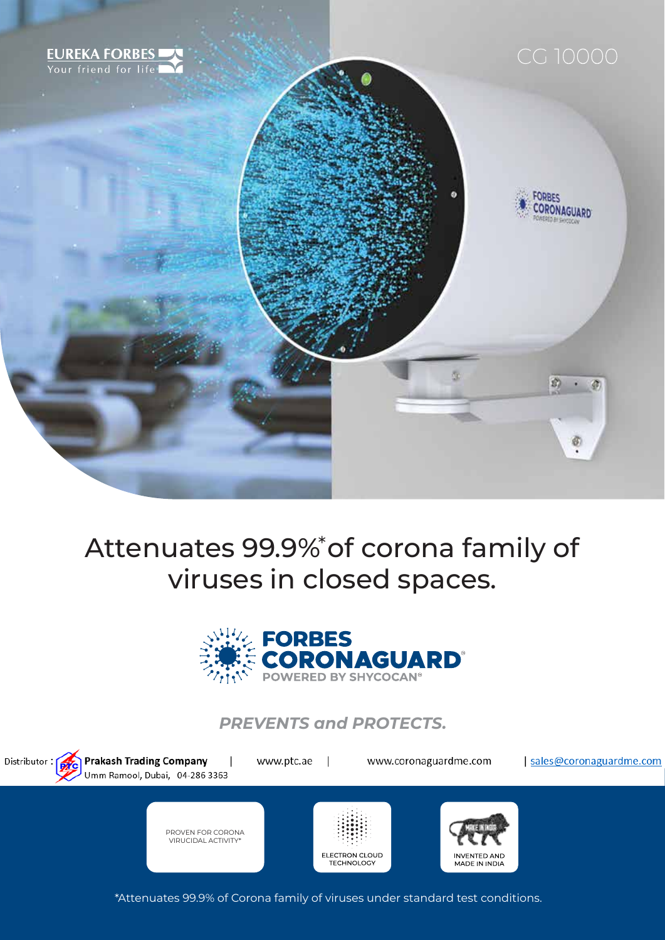

### Attenuates 99.9%\* of corona family of viruses in closed spaces.



*PREVENTS and PROTECTS.*



\*Attenuates 99.9% of Corona family of viruses under standard test conditions.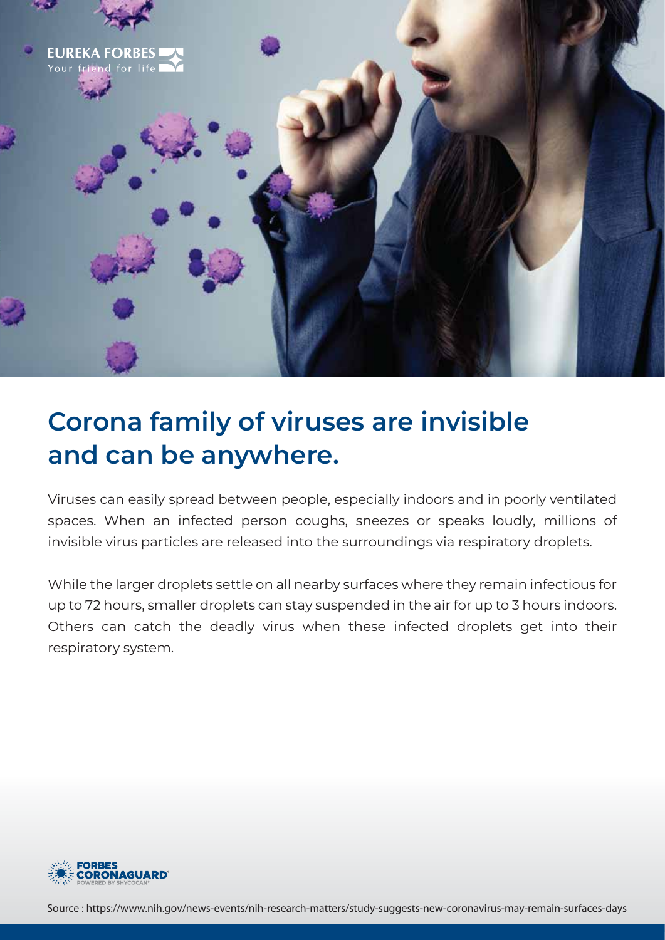

# **Corona family of viruses are invisible and can be anywhere.**

Viruses can easily spread between people, especially indoors and in poorly ventilated spaces. When an infected person coughs, sneezes or speaks loudly, millions of invisible virus particles are released into the surroundings via respiratory droplets.

While the larger droplets settle on all nearby surfaces where they remain infectious for up to 72 hours, smaller droplets can stay suspended in the air for up to 3 hours indoors. Others can catch the deadly virus when these infected droplets get into their respiratory system.



Source : https://www.nih.gov/news-events/nih-research-matters/study-suggests-new-coronavirus-may-remain-surfaces-days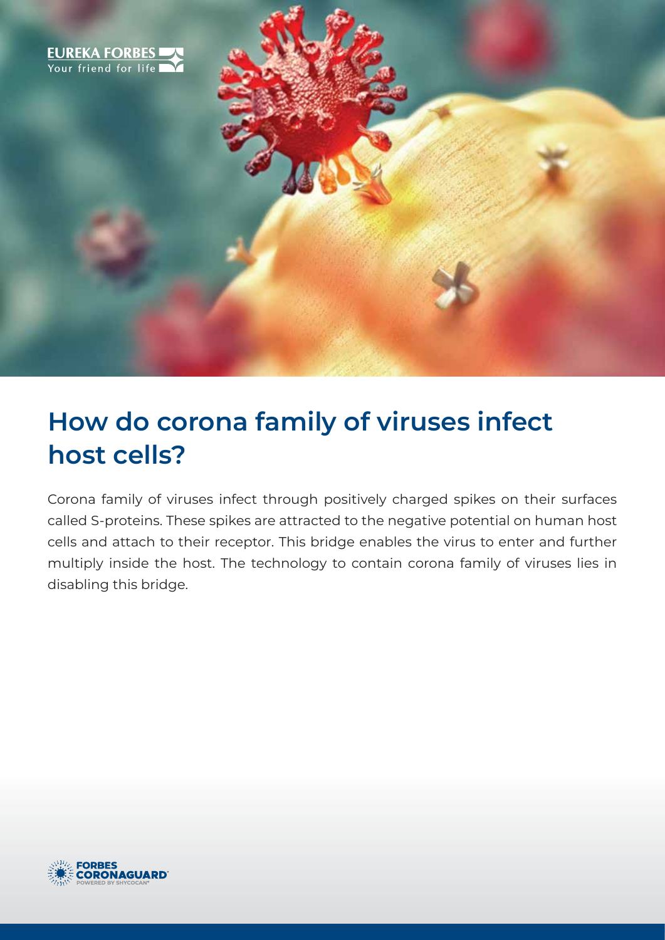

## **How do corona family of viruses infect host cells?**

Corona family of viruses infect through positively charged spikes on their surfaces called S-proteins. These spikes are attracted to the negative potential on human host cells and attach to their receptor. This bridge enables the virus to enter and further multiply inside the host. The technology to contain corona family of viruses lies in disabling this bridge.

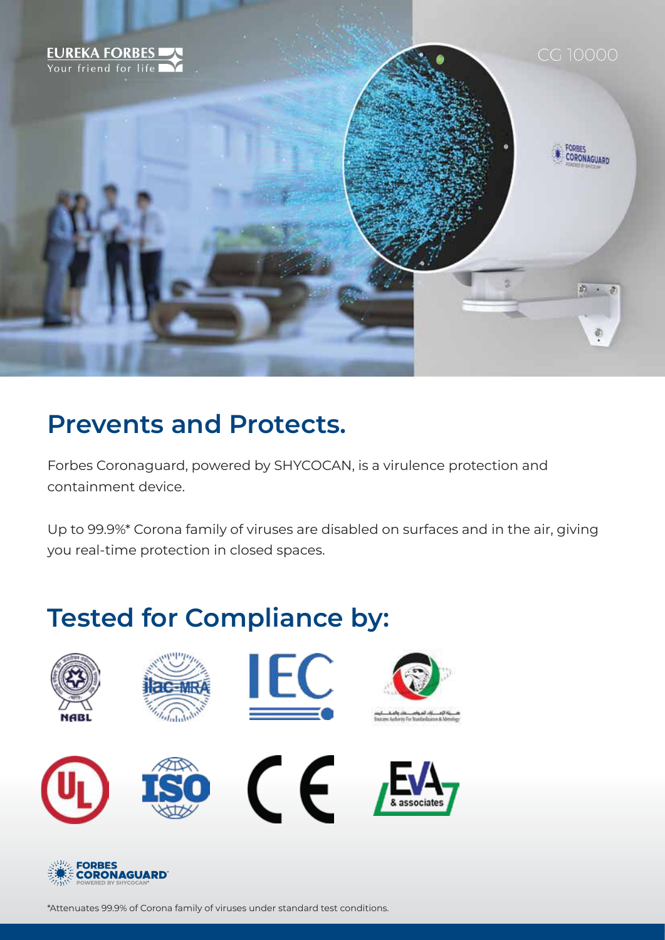

### **Prevents and Protects.**

Forbes Coronaguard, powered by SHYCOCAN, is a virulence protection and containment device.

Up to 99.9%\* Corona family of viruses are disabled on surfaces and in the air, giving you real-time protection in closed spaces.

# **Tested for Compliance by:**





\*Attenuates 99.9% of Corona family of viruses under standard test conditions.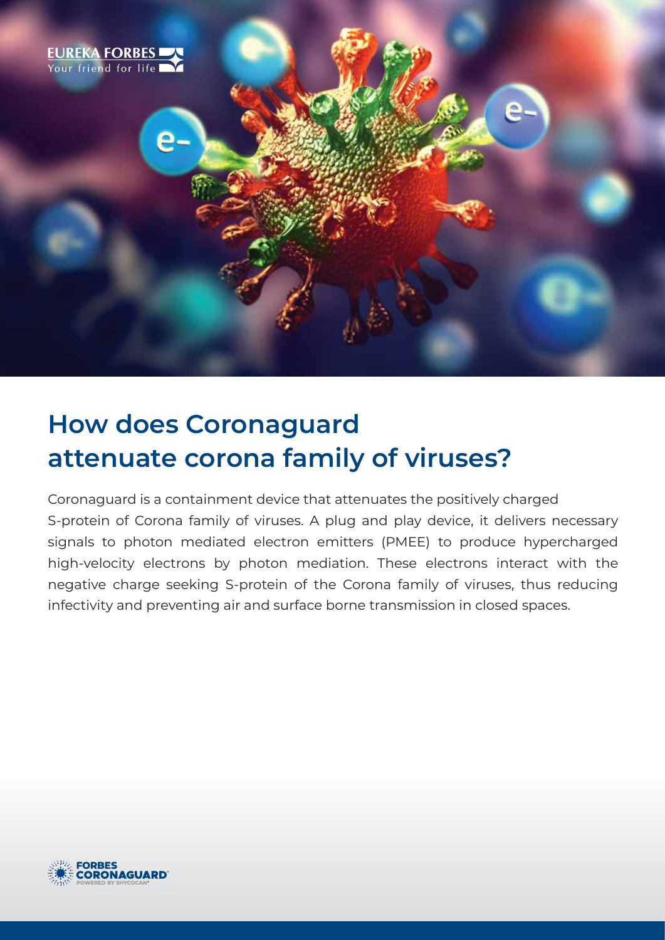

# **How does Coronaguard attenuate corona family of viruses?**

Coronaguard is a containment device that attenuates the positively charged S-protein of Corona family of viruses. A plug and play device, it delivers necessary signals to photon mediated electron emitters (PMEE) to produce hypercharged high-velocity electrons by photon mediation. These electrons interact with the negative charge seeking S-protein of the Corona family of viruses, thus reducing infectivity and preventing air and surface borne transmission in closed spaces.

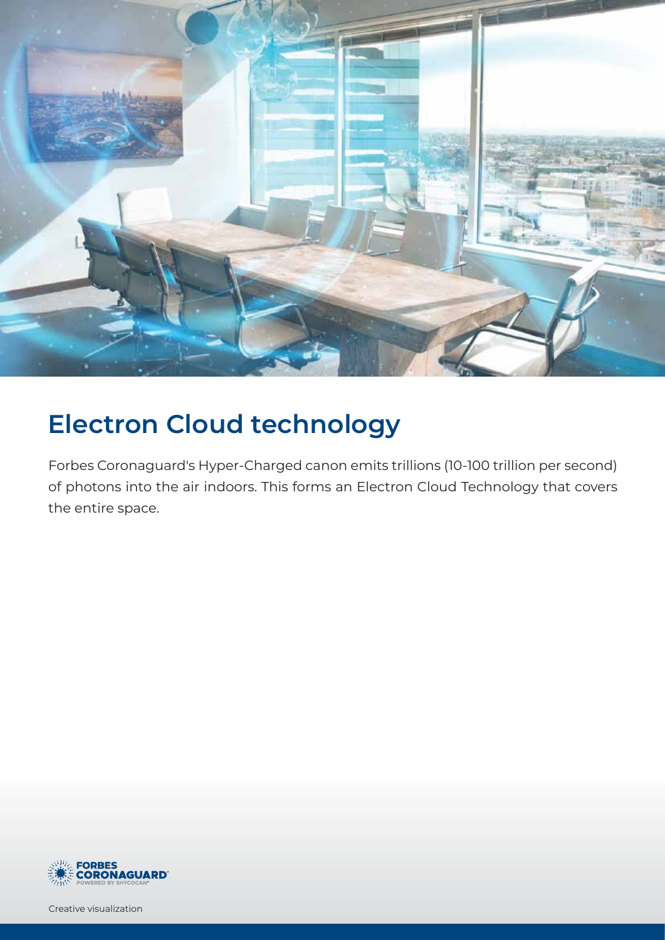

# **Electron Cloud technology**

Forbes Coronaguard's Hyper-Charged canon emits trillions (10-100 trillion per second) of photons into the air indoors. This forms an Electron Cloud Technology that covers the entire space.



Creative visualization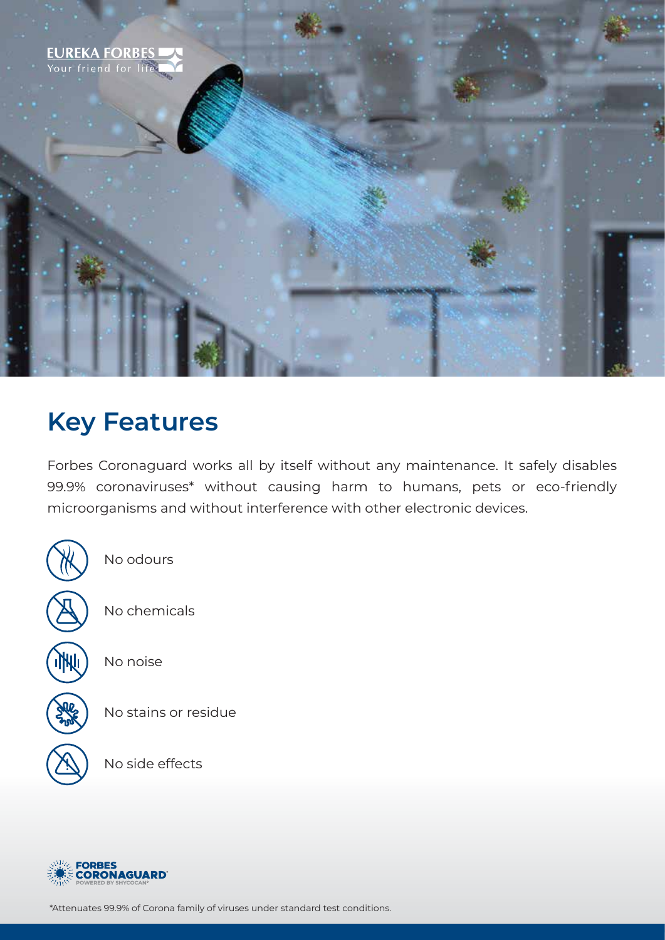

### **Key Features**

Forbes Coronaguard works all by itself without any maintenance. It safely disables 99.9% coronaviruses\* without causing harm to humans, pets or eco-friendly microorganisms and without interference with other electronic devices.



No odours

No chemicals

No noise

No stains or residue

No side effects



\*Attenuates 99.9% of Corona family of viruses under standard test conditions.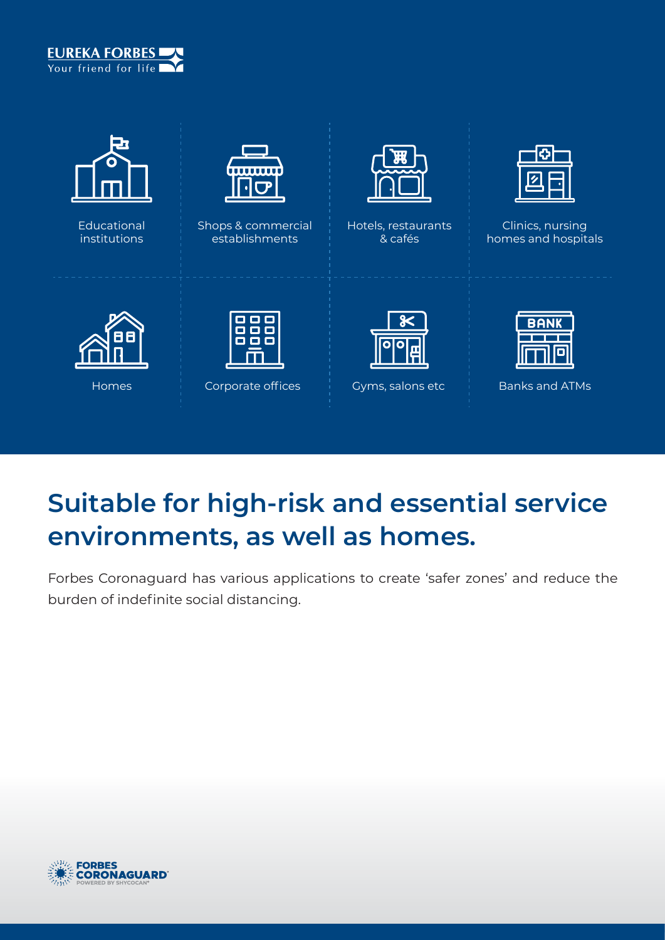



Educational institutions



Shops & commercial establishments



Hotels, restaurants & cafés



Clinics, nursing homes and hospitals





Homes **Corporate offices** Gyms, salons etc **Constants and ATMs** 



# **Suitable for high-risk and essential service environments, as well as homes.**

Forbes Coronaguard has various applications to create 'safer zones' and reduce the burden of indefinite social distancing.

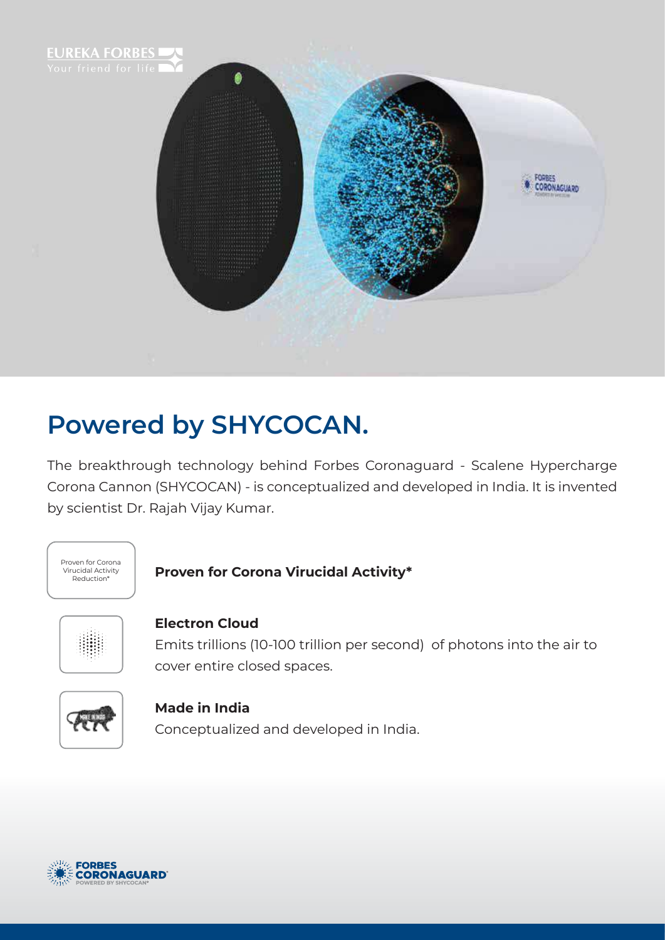

# **Powered by SHYCOCAN.**

The breakthrough technology behind Forbes Coronaguard - Scalene Hypercharge Corona Cannon (SHYCOCAN) - is conceptualized and developed in India. It is invented by scientist Dr. Rajah Vijay Kumar.



#### **Proven for Corona Virucidal Activity\***



#### **Electron Cloud**

Emits trillions (10-100 trillion per second) of photons into the air to cover entire closed spaces.



#### **Made in India**

Conceptualized and developed in India.